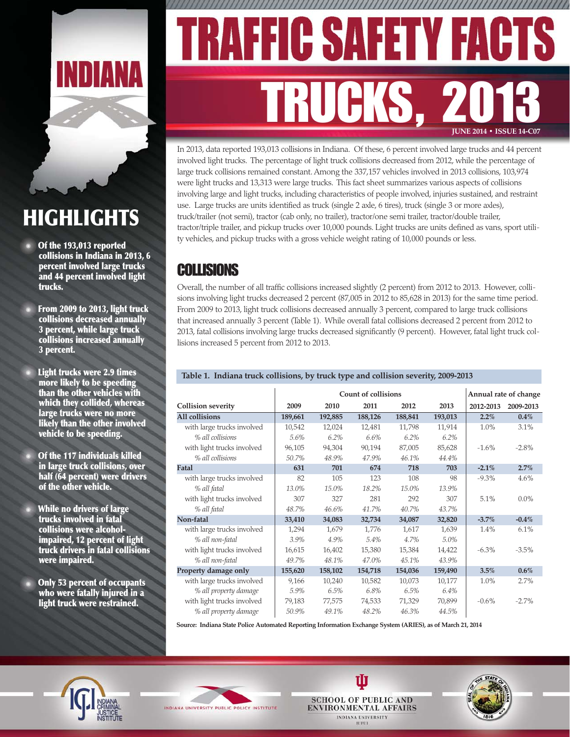

# **HIGHLIGHTS**

- **Of the 193,013 reported collisions in Indiana in 2013, 6 percent involved large trucks and 44 percent involved light trucks.**
- **From 2009 to 2013, light truck collisions decreased annually 3 percent, while large truck collisions increased annually 3 percent.**
- **Light trucks were 2.9 times more likely to be speeding than the other vehicles with which they collided, whereas large trucks were no more likely than the other involved vehicle to be speeding.**
- **Of the 117 individuals killed in large truck collisions, over half (64 percent) were drivers of the other vehicle.**
- **While no drivers of large trucks involved in fatal collisions were alcoholimpaired, 12 percent of light truck drivers in fatal collisions were impaired.**
- **Only 53 percent of occupants who were fatally injured in a light truck were restrained.**

# FIC SAFET FA TRUCKS, 2013 **JUNE 2014 • ISSUE 14-C07**

In 2013, data reported 193,013 collisions in Indiana. Of these, 6 percent involved large trucks and 44 percent involved light trucks. The percentage of light truck collisions decreased from 2012, while the percentage of large truck collisions remained constant. Among the 337,157 vehicles involved in 2013 collisions, 103,974 were light trucks and 13,313 were large trucks. This fact sheet summarizes various aspects of collisions involving large and light trucks, including characteristics of people involved, injuries sustained, and restraint use. Large trucks are units identified as truck (single 2 axle, 6 tires), truck (single 3 or more axles), truck/trailer (not semi), tractor (cab only, no trailer), tractor/one semi trailer, tractor/double trailer, tractor/triple trailer, and pickup trucks over 10,000 pounds. Light trucks are units defined as vans, sport utility vehicles, and pickup trucks with a gross vehicle weight rating of 10,000 pounds or less.

### COLLISIONS

Overall, the number of all traffic collisions increased slightly (2 percent) from 2012 to 2013. However, collisions involving light trucks decreased 2 percent (87,005 in 2012 to 85,628 in 2013) for the same time period. From 2009 to 2013, light truck collisions decreased annually 3 percent, compared to large truck collisions that increased annually 3 percent (Table 1). While overall fatal collisions decreased 2 percent from 2012 to 2013, fatal collisions involving large trucks decreased significantly (9 percent). However, fatal light truck collisions increased 5 percent from 2012 to 2013.

#### **Table 1. Indiana truck collisions, by truck type and collision severity, 2009-2013**

|                            | <b>Count of collisions</b> |         |         |         |         |           | Annual rate of change |
|----------------------------|----------------------------|---------|---------|---------|---------|-----------|-----------------------|
| <b>Collision severity</b>  | 2009                       | 2010    | 2011    | 2012    | 2013    | 2012-2013 | 2009-2013             |
| <b>All collisions</b>      | 189,661                    | 192,885 | 188,126 | 188,841 | 193,013 | $2.2\%$   | 0.4%                  |
| with large trucks involved | 10,542                     | 12,024  | 12,481  | 11,798  | 11,914  | $1.0\%$   | 3.1%                  |
| % all collisions           | 5.6%                       | 6.2%    | 6.6%    | 6.2%    | 6.2%    |           |                       |
| with light trucks involved | 96,105                     | 94,304  | 90,194  | 87,005  | 85,628  | $-1.6\%$  | $-2.8\%$              |
| % all collisions           | 50.7%                      | 48.9%   | 47.9%   | 46.1%   | 44.4%   |           |                       |
| Fatal                      | 631                        | 701     | 674     | 718     | 703     | $-2.1%$   | 2.7%                  |
| with large trucks involved | 82                         | 105     | 123     | 108     | 98      | $-9.3\%$  | 4.6%                  |
| % all fatal                | 13.0%                      | 15.0%   | 18.2%   | 15.0%   | 13.9%   |           |                       |
| with light trucks involved | 307                        | 327     | 281     | 292     | 307     | 5.1%      | $0.0\%$               |
| % all fatal                | 48.7%                      | 46.6%   | 41.7%   | 40.7%   | 43.7%   |           |                       |
| Non-fatal                  | 33,410                     | 34,083  | 32,734  | 34,087  | 32,820  | $-3.7%$   | $-0.4\%$              |
| with large trucks involved | 1,294                      | 1,679   | 1,776   | 1,617   | 1,639   | 1.4%      | 6.1%                  |
| % all non-fatal            | 3.9%                       | 4.9%    | 5.4%    | 4.7%    | 5.0%    |           |                       |
| with light trucks involved | 16,615                     | 16,402  | 15,380  | 15,384  | 14,422  | $-6.3\%$  | $-3.5\%$              |
| % all non-fatal            | 49.7%                      | 48.1%   | 47.0%   | 45.1%   | 43.9%   |           |                       |
| Property damage only       | 155,620                    | 158,102 | 154,718 | 154,036 | 159,490 | 3.5%      | 0.6%                  |
| with large trucks involved | 9,166                      | 10,240  | 10,582  | 10,073  | 10,177  | 1.0%      | 2.7%                  |
| % all property damage      | 5.9%                       | 6.5%    | 6.8%    | 6.5%    | 6.4%    |           |                       |
| with light trucks involved | 79,183                     | 77,575  | 74,533  | 71,329  | 70,899  | $-0.6\%$  | $-2.7%$               |
| % all property damage      | 50.9%                      | 49.1%   | 48.2%   | 46.3%   | 44.5%   |           |                       |

**Source: Indiana State Police Automated Reporting Information Exchange System (ARIES), as of March 21, 2014**







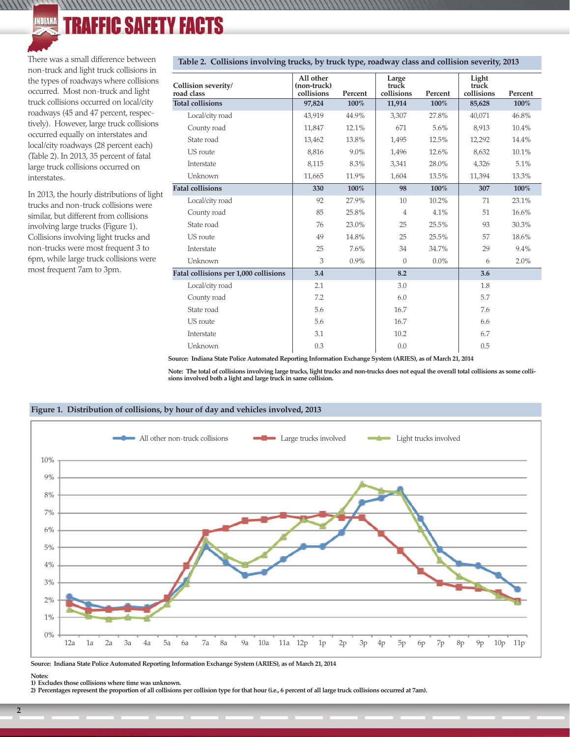#### C SAFETY FACTS **INDIANA** 11

There was a small difference between non-truck and light truck collisions in the types of roadways where collisions occurred. Most non-truck and light truck collisions occurred on local/city roadways (45 and 47 percent, respectively). However, large truck collisions occurred equally on interstates and local/city roadways (28 percent each) (Table 2). In 2013, 35 percent of fatal large truck collisions occurred on interstates.

 $\frac{1}{1}$ 

In 2013, the hourly distributions of light trucks and non-truck collisions were similar, but different from collisions involving large trucks (Figure 1). Collisions involving light trucks and non-trucks were most frequent 3 to 6pm, while large truck collisions were most frequent 7am to 3pm.

| Collision severity/<br>road class     | All other<br>(non-truck)<br>collisions | Percent | Large<br>truck<br>collisions | Percent | Light<br>truck<br>collisions | Percent |
|---------------------------------------|----------------------------------------|---------|------------------------------|---------|------------------------------|---------|
| <b>Total collisions</b>               | 97,824                                 | 100%    | 11,914                       | 100%    | 85,628                       | 100%    |
| Local/city road                       | 43,919                                 | 44.9%   | 3,307                        | 27.8%   | 40,071                       | 46.8%   |
| County road                           | 11,847                                 | 12.1%   | 671                          | 5.6%    | 8,913                        | 10.4%   |
| State road                            | 13,462                                 | 13.8%   | 1,495                        | 12.5%   | 12,292                       | 14.4%   |
| US route                              | 8,816                                  | 9.0%    | 1,496                        | 12.6%   | 8,632                        | 10.1%   |
| Interstate                            | 8,115                                  | 8.3%    | 3,341                        | 28.0%   | 4,326                        | 5.1%    |
| Unknown                               | 11,665                                 | 11.9%   | 1,604                        | 13.5%   | 11,394                       | 13.3%   |
| <b>Fatal collisions</b>               | 330                                    | 100%    | 98                           | 100%    | 307                          | 100%    |
| Local/city road                       | 92                                     | 27.9%   | 10                           | 10.2%   | 71                           | 23.1%   |
| County road                           | 85                                     | 25.8%   | $\,4\,$                      | 4.1%    | 51                           | 16.6%   |
| State road                            | 76                                     | 23.0%   | 25                           | 25.5%   | 93                           | 30.3%   |
| US route                              | 49                                     | 14.8%   | 25                           | 25.5%   | 57                           | 18.6%   |
| Interstate                            | 25                                     | 7.6%    | 34                           | 34.7%   | 29                           | 9.4%    |
| Unknown                               | 3                                      | 0.9%    | $\overline{0}$               | $0.0\%$ | 6                            | 2.0%    |
| Fatal collisions per 1,000 collisions | 3.4                                    |         | 8.2                          |         | 3.6                          |         |
| Local/city road                       | 2.1                                    |         | 3.0                          |         | 1.8                          |         |
| County road                           | 7.2                                    |         | 6.0                          |         | 5.7                          |         |
| State road                            | 5.6                                    |         | 16.7                         |         | 7.6                          |         |
| US route                              | 5.6                                    |         | 16.7                         |         | 6.6                          |         |
| Interstate                            | 3.1                                    |         | 10.2                         |         | 6.7                          |         |
| Unknown                               | 0.3                                    |         | 0.0                          |         | 0.5                          |         |

#### **Table 2. Collisions involving trucks, by truck type, roadway class and collision severity, 2013**

/////////////

**Source: Indiana State Police Automated Reporting Information Exchange System (ARIES), as of March 21, 2014**

**Note: The total of collisions involving large trucks, light trucks and non-trucks does not equal the overall total collisions as some collisions involved both a light and large truck in same collision.**



#### **Figure 1. Distribution of collisions, by hour of day and vehicles involved, 2013**

**Source: Indiana State Police Automated Reporting Information Exchange System (ARIES), as of March 21, 2014**

**Notes: 1) Excludes those collisions where time was unknown.**

**2) Percentages represent the proportion of all collisions per collision type for that hour (i.e., 6 percent of all large truck collisions occurred at 7am).**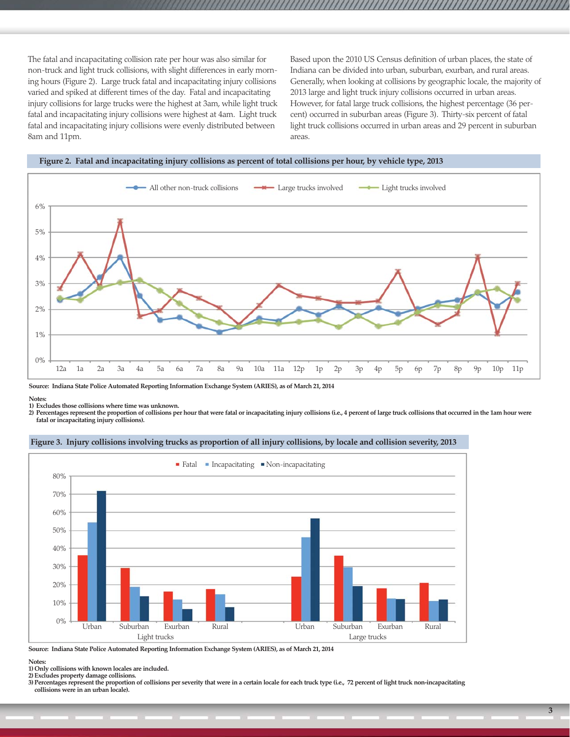The fatal and incapacitating collision rate per hour was also similar for non-truck and light truck collisions, with slight differences in early morning hours (Figure 2). Large truck fatal and incapacitating injury collisions varied and spiked at different times of the day. Fatal and incapacitating injury collisions for large trucks were the highest at 3am, while light truck fatal and incapacitating injury collisions were highest at 4am. Light truck fatal and incapacitating injury collisions were evenly distributed between 8am and 11pm.

Based upon the 2010 US Census definition of urban places, the state of Indiana can be divided into urban, suburban, exurban, and rural areas. Generally, when looking at collisions by geographic locale, the majority of 2013 large and light truck injury collisions occurred in urban areas. However, for fatal large truck collisions, the highest percentage (36 percent) occurred in suburban areas (Figure 3). Thirty-six percent of fatal light truck collisions occurred in urban areas and 29 percent in suburban areas.





**Source: Indiana State Police Automated Reporting Information Exchange System (ARIES), as of March 21, 2014**

**Notes:** 

**1) Excludes those collisions where time was unknown.**

**2) Percentages represent the proportion of collisions per hour that were fatal or incapacitating injury collisions (i.e., 4 percent of large truck collisions that occurred in the 1am hour were fatal or incapacitating injury collisions).**



#### **Figure 3. Injury collisions involving trucks as proportion of all injury collisions, by locale and collision severity, 2013**

**Source: Indiana State Police Automated Reporting Information Exchange System (ARIES), as of March 21, 2014**

**Notes:** 

**1) Only collisions with known locales are included.**

**2) Excludes property damage collisions.**

**3) Percentages represent the proportion of collisions per severity that were in a certain locale for each truck type (i.e., 72 percent of light truck non-incapacitating collisions were in an urban locale).**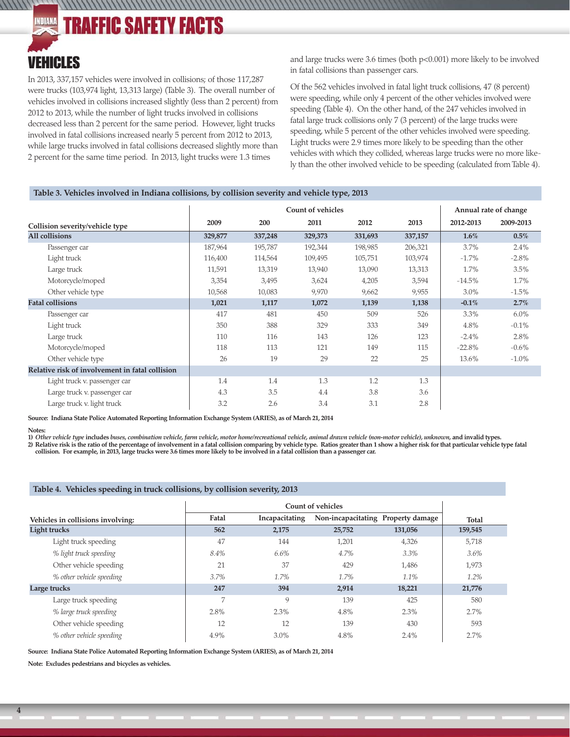#### **TRAFFIC SAFETY FACTS** INDIANA

### VEHICLES

 $111111$ 

In 2013, 337,157 vehicles were involved in collisions; of those 117,287 were trucks (103,974 light, 13,313 large) (Table 3). The overall number of vehicles involved in collisions increased slightly (less than 2 percent) from 2012 to 2013, while the number of light trucks involved in collisions decreased less than 2 percent for the same period. However, light trucks involved in fatal collisions increased nearly 5 percent from 2012 to 2013, while large trucks involved in fatal collisions decreased slightly more than 2 percent for the same time period. In 2013, light trucks were 1.3 times

and large trucks were 3.6 times (both p<0.001) more likely to be involved in fatal collisions than passenger cars.

Of the 562 vehicles involved in fatal light truck collisions, 47 (8 percent) were speeding, while only 4 percent of the other vehicles involved were speeding (Table 4). On the other hand, of the 247 vehicles involved in fatal large truck collisions only 7 (3 percent) of the large trucks were speeding, while 5 percent of the other vehicles involved were speeding. Light trucks were 2.9 times more likely to be speeding than the other vehicles with which they collided, whereas large trucks were no more likely than the other involved vehicle to be speeding (calculated from Table 4).

#### **Table 3. Vehicles involved in Indiana collisions, by collision severity and vehicle type, 2013**

,,,,,,,,,,,,,,,,,,,,,,,,,,,,,,,,,,

|                                                 |         |         | <b>Count of vehicles</b> |         |         |           | Annual rate of change |
|-------------------------------------------------|---------|---------|--------------------------|---------|---------|-----------|-----------------------|
| Collision severity/vehicle type                 | 2009    | 200     | 2011                     | 2012    | 2013    | 2012-2013 | 2009-2013             |
| <b>All collisions</b>                           | 329,877 | 337,248 | 329,373                  | 331,693 | 337,157 | 1.6%      | $0.5\%$               |
| Passenger car                                   | 187,964 | 195,787 | 192,344                  | 198,985 | 206,321 | 3.7%      | 2.4%                  |
| Light truck                                     | 116,400 | 114,564 | 109,495                  | 105,751 | 103,974 | $-1.7%$   | $-2.8\%$              |
| Large truck                                     | 11,591  | 13,319  | 13,940                   | 13,090  | 13,313  | 1.7%      | 3.5%                  |
| Motorcycle/moped                                | 3,354   | 3,495   | 3,624                    | 4,205   | 3,594   | $-14.5%$  | 1.7%                  |
| Other vehicle type                              | 10,568  | 10,083  | 9,970                    | 9,662   | 9,955   | $3.0\%$   | $-1.5%$               |
| <b>Fatal collisions</b>                         | 1,021   | 1,117   | 1,072                    | 1,139   | 1,138   | $-0.1%$   | 2.7%                  |
| Passenger car                                   | 417     | 481     | 450                      | 509     | 526     | $3.3\%$   | $6.0\%$               |
| Light truck                                     | 350     | 388     | 329                      | 333     | 349     | 4.8%      | $-0.1\%$              |
| Large truck                                     | 110     | 116     | 143                      | 126     | 123     | $-2.4\%$  | 2.8%                  |
| Motorcycle/moped                                | 118     | 113     | 121                      | 149     | 115     | $-22.8%$  | $-0.6\%$              |
| Other vehicle type                              | 26      | 19      | 29                       | 22      | 25      | 13.6%     | $-1.0\%$              |
| Relative risk of involvement in fatal collision |         |         |                          |         |         |           |                       |
| Light truck v. passenger car                    | 1.4     | 1.4     | 1.3                      | 1.2     | 1.3     |           |                       |
| Large truck v. passenger car                    | 4.3     | 3.5     | 4.4                      | 3.8     | 3.6     |           |                       |
| Large truck v. light truck                      | 3.2     | 2.6     | 3.4                      | 3.1     | 2.8     |           |                       |

**Source: Indiana State Police Automated Reporting Information Exchange System (ARIES), as of March 21, 2014**

**1)** *Other vehicle type* **includes** *buses, combination vehicle, farm vehicle, motor home/recreational vehicle, animal drawn vehicle (non-motor vehicle), unknown,* **and invalid types.**

**2) Relative risk is the ratio of the percentage of involvement in a fatal collision comparing by vehicle type. Ratios greater than 1 show a higher risk for that particular vehicle type fatal collision. For example, in 2013, large trucks were 3.6 times more likely to be involved in a fatal collision than a passenger car.**

#### **Table 4. Vehicles speeding in truck collisions, by collision severity, 2013**

| Vehicles in collisions involving: | Fatal          | Incapacitating |        | Non-incapacitating Property damage | <b>Total</b> |
|-----------------------------------|----------------|----------------|--------|------------------------------------|--------------|
| Light trucks                      | 562            | 2,175          | 25,752 | 131,056                            | 159,545      |
| Light truck speeding              | 47             | 144            | 1,201  | 4,326                              | 5,718        |
| % light truck speeding            | 8.4%           | 6.6%           | 4.7%   | 3.3%                               | 3.6%         |
| Other vehicle speeding            | 21             | 37             | 429    | 1,486                              | 1,973        |
| % other vehicle speeding          | 3.7%           | 1.7%           | 1.7%   | 1.1%                               | 1.2%         |
| Large trucks                      | 247            | 394            | 2,914  | 18,221                             | 21,776       |
| Large truck speeding              | $\overline{7}$ | 9              | 139    | 425                                | 580          |
| % large truck speeding            | 2.8%           | 2.3%           | 4.8%   | 2.3%                               | 2.7%         |
| Other vehicle speeding            | 12             | 12             | 139    | 430                                | 593          |
| % other vehicle speeding          | 4.9%           | $3.0\%$        | 4.8%   | 2.4%                               | 2.7%         |

**Source: Indiana State Police Automated Reporting Information Exchange System (ARIES), as of March 21, 2014**

**Note: Excludes pedestrians and bicycles as vehicles.**

**Notes:**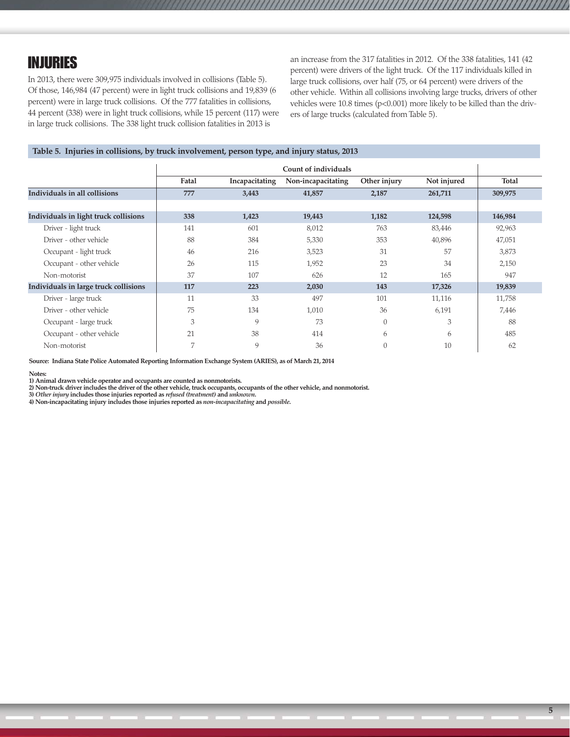### INJURIES

In 2013, there were 309,975 individuals involved in collisions (Table 5). Of those, 146,984 (47 percent) were in light truck collisions and 19,839 (6 percent) were in large truck collisions. Of the 777 fatalities in collisions, 44 percent (338) were in light truck collisions, while 15 percent (117) were in large truck collisions. The 338 light truck collision fatalities in 2013 is

an increase from the 317 fatalities in 2012. Of the 338 fatalities, 141 (42 percent) were drivers of the light truck. Of the 117 individuals killed in large truck collisions, over half (75, or 64 percent) were drivers of the other vehicle. Within all collisions involving large trucks, drivers of other vehicles were 10.8 times (p<0.001) more likely to be killed than the drivers of large trucks (calculated from Table 5).

#### **Table 5. Injuries in collisions, by truck involvement, person type, and injury status, 2013**

|                                       | Count of individuals |                |                    |                |             |         |  |  |  |
|---------------------------------------|----------------------|----------------|--------------------|----------------|-------------|---------|--|--|--|
|                                       | Fatal                | Incapacitating | Non-incapacitating | Other injury   | Not injured | Total   |  |  |  |
| Individuals in all collisions         | 777                  | 3,443          | 41,857             | 2,187          | 261,711     | 309,975 |  |  |  |
|                                       |                      |                |                    |                |             |         |  |  |  |
| Individuals in light truck collisions | 338                  | 1,423          | 19,443             | 1,182          | 124,598     | 146,984 |  |  |  |
| Driver - light truck                  | 141                  | 601            | 8,012              | 763            | 83,446      | 92,963  |  |  |  |
| Driver - other vehicle                | 88                   | 384            | 5,330              | 353            | 40,896      | 47,051  |  |  |  |
| Occupant - light truck                | 46                   | 216            | 3,523              | 31             | 57          | 3,873   |  |  |  |
| Occupant - other vehicle              | 26                   | 115            | 1,952              | 23             | 34          | 2,150   |  |  |  |
| Non-motorist                          | 37                   | 107            | 626                | 12             | 165         | 947     |  |  |  |
| Individuals in large truck collisions | 117                  | 223            | 2,030              | 143            | 17,326      | 19,839  |  |  |  |
| Driver - large truck                  | 11                   | 33             | 497                | 101            | 11,116      | 11,758  |  |  |  |
| Driver - other vehicle                | 75                   | 134            | 1,010              | 36             | 6,191       | 7,446   |  |  |  |
| Occupant - large truck                | 3                    | 9              | 73                 | $\overline{0}$ | 3           | 88      |  |  |  |
| Occupant - other vehicle              | 21                   | 38             | 414                | 6              | 6           | 485     |  |  |  |
| Non-motorist                          | 7                    | 9              | 36                 | $\Omega$       | 10          | 62      |  |  |  |

**Source: Indiana State Police Automated Reporting Information Exchange System (ARIES), as of March 21, 2014**

**Notes:** 

**1) Animal drawn vehicle operator and occupants are counted as nonmotorists. 2) Non-truck driver includes the driver of the other vehicle, truck occupants, occupants of the other vehicle, and nonmotorist.**

**3)** *Other injury* **includes those injuries reported as** *refused (treatment)* **and** *unknown***.**

**4) Non-incapacitating injury includes those injuries reported as** *non-incapacitating* **and** *possible***.**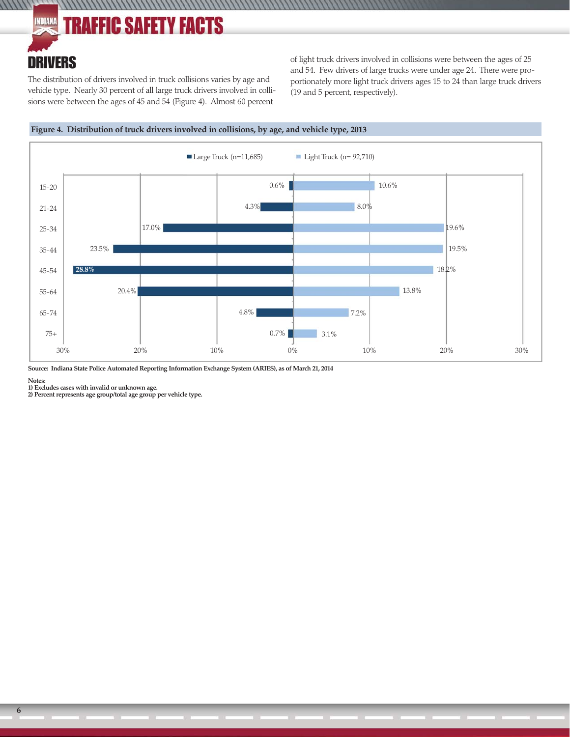#### INDIANA **TRAFFIC SAFETY FACTS**

### DRIVERS

 $\frac{1}{111111}$ 

The distribution of drivers involved in truck collisions varies by age and vehicle type. Nearly 30 percent of all large truck drivers involved in collisions were between the ages of 45 and 54 (Figure 4). Almost 60 percent

of light truck drivers involved in collisions were between the ages of 25 and 54. Few drivers of large trucks were under age 24. There were proportionately more light truck drivers ages 15 to 24 than large truck drivers (19 and 5 percent, respectively).



////////////////



**Source: Indiana State Police Automated Reporting Information Exchange System (ARIES), as of March 21, 2014**

**Notes:**

**1) Excludes cases with invalid or unknown age.**

**2) Percent represents age group/total age group per vehicle type.**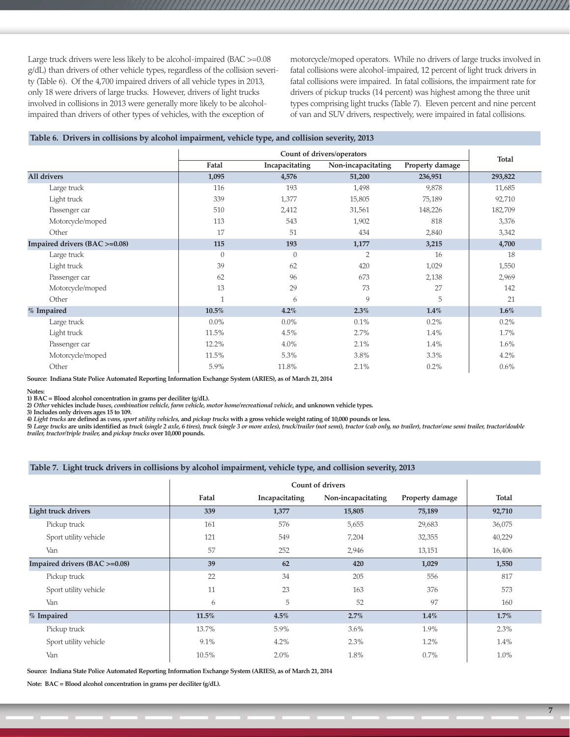Large truck drivers were less likely to be alcohol-impaired (BAC >=0.08 g/dL) than drivers of other vehicle types, regardless of the collision severity (Table 6). Of the 4,700 impaired drivers of all vehicle types in 2013, only 18 were drivers of large trucks. However, drivers of light trucks involved in collisions in 2013 were generally more likely to be alcoholimpaired than drivers of other types of vehicles, with the exception of

motorcycle/moped operators. While no drivers of large trucks involved in fatal collisions were alcohol-impaired, 12 percent of light truck drivers in fatal collisions were impaired. In fatal collisions, the impairment rate for drivers of pickup trucks (14 percent) was highest among the three unit types comprising light trucks (Table 7). Eleven percent and nine percent of van and SUV drivers, respectively, were impaired in fatal collisions.

#### **Table 6. Drivers in collisions by alcohol impairment, vehicle type, and collision severity, 2013**

|                               | Fatal        | Incapacitating | Non-incapacitating | Property damage | Total   |
|-------------------------------|--------------|----------------|--------------------|-----------------|---------|
| All drivers                   | 1,095        | 4,576          | 51,200             | 236,951         | 293,822 |
| Large truck                   | 116          | 193            | 1,498              | 9,878           | 11,685  |
| Light truck                   | 339          | 1,377          | 15,805             | 75,189          | 92,710  |
| Passenger car                 | 510          | 2,412          | 31,561             | 148,226         | 182,709 |
| Motorcycle/moped              | 113          | 543            | 1,902              | 818             | 3,376   |
| Other                         | 17           | 51             | 434                | 2,840           | 3,342   |
| Impaired drivers (BAC >=0.08) | 115          | 193            | 1,177              | 3,215           | 4,700   |
| Large truck                   | $\theta$     | $\theta$       | $\overline{2}$     | 16              | 18      |
| Light truck                   | 39           | 62             | 420                | 1,029           | 1,550   |
| Passenger car                 | 62           | 96             | 673                | 2,138           | 2,969   |
| Motorcycle/moped              | 13           | 29             | 73                 | 27              | 142     |
| Other                         | $\mathbf{1}$ | 6              | $\overline{Q}$     | 5               | 21      |
| % Impaired                    | 10.5%        | $4.2\%$        | 2.3%               | $1.4\%$         | $1.6\%$ |
| Large truck                   | $0.0\%$      | $0.0\%$        | 0.1%               | 0.2%            | 0.2%    |
| Light truck                   | 11.5%        | 4.5%           | 2.7%               | 1.4%            | 1.7%    |
| Passenger car                 | 12.2%        | $4.0\%$        | 2.1%               | 1.4%            | 1.6%    |
| Motorcycle/moped              | 11.5%        | 5.3%           | 3.8%               | 3.3%            | 4.2%    |
| Other                         | 5.9%         | 11.8%          | 2.1%               | $0.2\%$         | $0.6\%$ |

**Source: Indiana State Police Automated Reporting Information Exchange System (ARIES), as of March 21, 2014**

**Notes:** 

1) BAC = Blood alcohol concentration in grams per deciliter (g/dL).<br>2) *Other* vehicles include *buses, combination vehicle, farm vehicle, motor home/recreational vehicle,* and unknown vehicle types.

**3) Includes only drivers ages 15 to 109.**

4) Light trucks are defined as vans, sport utility vehicles, and pickup trucks with a gross vehicle weight rating of 10,000 pounds or less.<br>5) Large trucks are units identified as truck (single 2 axle, 6 tires), truck (sin *trailer, tractor/triple trailer,* **and** *pickup trucks* **over 10,000 pounds.**

#### **Table 7. Light truck drivers in collisions by alcohol impairment, vehicle type, and collision severity, 2013**

|                               | Fatal | Incapacitating | Non-incapacitating | Property damage | <b>Total</b> |
|-------------------------------|-------|----------------|--------------------|-----------------|--------------|
| <b>Light truck drivers</b>    | 339   | 1,377          | 15,805             | 75,189          | 92,710       |
| Pickup truck                  | 161   | 576            | 5,655              | 29,683          | 36,075       |
| Sport utility vehicle         | 121   | 549            | 7,204              | 32,355          | 40,229       |
| Van                           | 57    | 252            | 2,946              | 13,151          | 16,406       |
| Impaired drivers (BAC >=0.08) | 39    | 62             | 420                | 1,029           | 1,550        |
| Pickup truck                  | 22    | 34             | 205                | 556             | 817          |
| Sport utility vehicle         | 11    | 23             | 163                | 376             | 573          |
| Van                           | 6     | 5              | 52                 | 97              | 160          |
| % Impaired                    | 11.5% | 4.5%           | 2.7%               | $1.4\%$         | $1.7\%$      |
| Pickup truck                  | 13.7% | 5.9%           | 3.6%               | 1.9%            | 2.3%         |
| Sport utility vehicle         | 9.1%  | 4.2%           | 2.3%               | 1.2%            | 1.4%         |
| Van                           | 10.5% | 2.0%           | 1.8%               | 0.7%            | 1.0%         |

**Source: Indiana State Police Automated Reporting Information Exchange System (ARIES), as of March 21, 2014**

**Note: BAC = Blood alcohol concentration in grams per deciliter (g/dL).**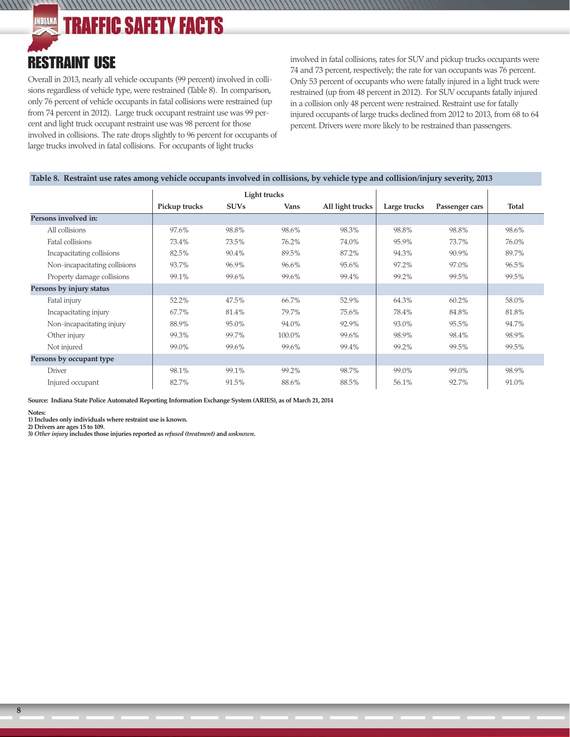**TRAFFIC SAFETY FACTS** INDIANA

### RESTRAINT USE

 $111111$ 

Overall in 2013, nearly all vehicle occupants (99 percent) involved in collisions regardless of vehicle type, were restrained (Table 8). In comparison, only 76 percent of vehicle occupants in fatal collisions were restrained (up from 74 percent in 2012). Large truck occupant restraint use was 99 percent and light truck occupant restraint use was 98 percent for those involved in collisions. The rate drops slightly to 96 percent for occupants of large trucks involved in fatal collisions. For occupants of light trucks

involved in fatal collisions, rates for SUV and pickup trucks occupants were 74 and 73 percent, respectively; the rate for van occupants was 76 percent. Only 53 percent of occupants who were fatally injured in a light truck were restrained (up from 48 percent in 2012). For SUV occupants fatally injured in a collision only 48 percent were restrained. Restraint use for fatally injured occupants of large trucks declined from 2012 to 2013, from 68 to 64 percent. Drivers were more likely to be restrained than passengers.

#### **Table 8. Restraint use rates among vehicle occupants involved in collisions, by vehicle type and collision/injury severity, 2013**

,,,,,,,,,,,,,,,,,,,,,,,,,,,,,,,

|                               | Light trucks  |             |        |                  |              |                |              |
|-------------------------------|---------------|-------------|--------|------------------|--------------|----------------|--------------|
|                               | Pickup trucks | <b>SUVs</b> | Vans   | All light trucks | Large trucks | Passenger cars | <b>Total</b> |
| Persons involved in:          |               |             |        |                  |              |                |              |
| All collisions                | 97.6%         | 98.8%       | 98.6%  | 98.3%            | 98.8%        | 98.8%          | 98.6%        |
| Fatal collisions              | 73.4%         | 73.5%       | 76.2%  | 74.0%            | 95.9%        | 73.7%          | 76.0%        |
| Incapacitating collisions     | 82.5%         | 90.4%       | 89.5%  | 87.2%            | 94.3%        | 90.9%          | 89.7%        |
| Non-incapacitating collisions | 93.7%         | 96.9%       | 96.6%  | 95.6%            | 97.2%        | 97.0%          | 96.5%        |
| Property damage collisions    | 99.1%         | 99.6%       | 99.6%  | 99.4%            | 99.2%        | 99.5%          | 99.5%        |
| Persons by injury status      |               |             |        |                  |              |                |              |
| Fatal injury                  | 52.2%         | 47.5%       | 66.7%  | 52.9%            | 64.3%        | 60.2%          | 58.0%        |
| Incapacitating injury         | 67.7%         | 81.4%       | 79.7%  | 75.6%            | 78.4%        | 84.8%          | 81.8%        |
| Non-incapacitating injury     | 88.9%         | 95.0%       | 94.0%  | 92.9%            | 93.0%        | 95.5%          | 94.7%        |
| Other injury                  | 99.3%         | 99.7%       | 100.0% | 99.6%            | 98.9%        | 98.4%          | 98.9%        |
| Not injured                   | 99.0%         | 99.6%       | 99.6%  | 99.4%            | 99.2%        | 99.5%          | 99.5%        |
| Persons by occupant type      |               |             |        |                  |              |                |              |
| <b>Driver</b>                 | 98.1%         | 99.1%       | 99.2%  | 98.7%            | 99.0%        | 99.0%          | 98.9%        |
| Injured occupant              | 82.7%         | 91.5%       | 88.6%  | 88.5%            | 56.1%        | 92.7%          | 91.0%        |

**Source: Indiana State Police Automated Reporting Information Exchange System (ARIES), as of March 21, 2014**

#### **Notes:**

**1) Includes only individuals where restraint use is known.**

**2) Drivers are ages 15 to 109.**

**3)** *Other injury* **includes those injuries reported as** *refused (treatment)* **and** *unknown***.**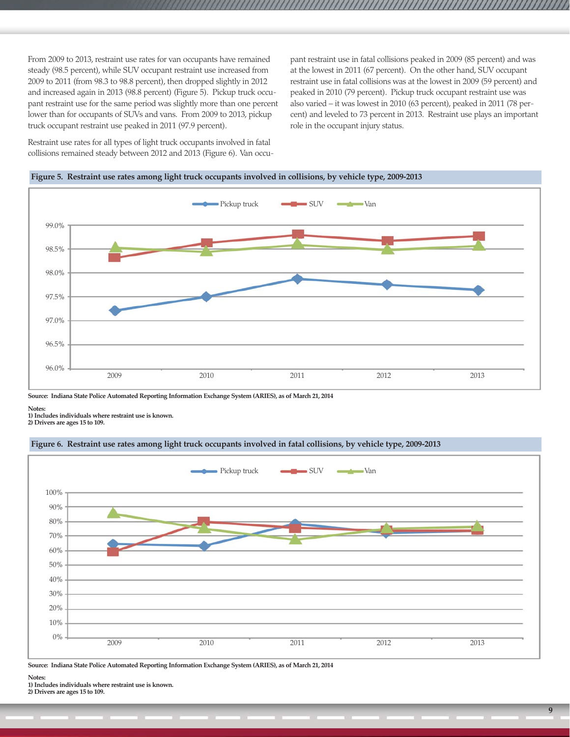From 2009 to 2013, restraint use rates for van occupants have remained steady (98.5 percent), while SUV occupant restraint use increased from 2009 to 2011 (from 98.3 to 98.8 percent), then dropped slightly in 2012 and increased again in 2013 (98.8 percent) (Figure 5). Pickup truck occupant restraint use for the same period was slightly more than one percent lower than for occupants of SUVs and vans. From 2009 to 2013, pickup truck occupant restraint use peaked in 2011 (97.9 percent).

Restraint use rates for all types of light truck occupants involved in fatal collisions remained steady between 2012 and 2013 (Figure 6). Van occupant restraint use in fatal collisions peaked in 2009 (85 percent) and was at the lowest in 2011 (67 percent). On the other hand, SUV occupant restraint use in fatal collisions was at the lowest in 2009 (59 percent) and peaked in 2010 (79 percent). Pickup truck occupant restraint use was also varied – it was lowest in 2010 (63 percent), peaked in 2011 (78 percent) and leveled to 73 percent in 2013. Restraint use plays an important role in the occupant injury status.



**Figure 5. Restraint use rates among light truck occupants involved in collisions, by vehicle type, 2009-2013**

**Source: Indiana State Police Automated Reporting Information Exchange System (ARIES), as of March 21, 2014**

**Notes:** 

**1) Includes individuals where restraint use is known.**

**2) Drivers are ages 15 to 109.**

#### **Figure 6. Restraint use rates among light truck occupants involved in fatal collisions, by vehicle type, 2009-2013**



**Source: Indiana State Police Automated Reporting Information Exchange System (ARIES), as of March 21, 2014**

**Notes:** 

**1) Includes individuals where restraint use is known.**

**2) Drivers are ages 15 to 109.**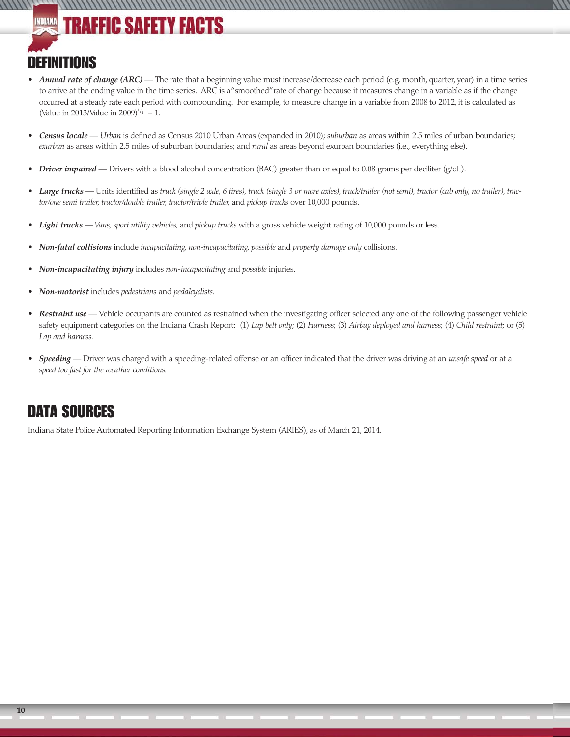# **TRAFFIC SAFETY FACTS**

### **DEFINITIONS**

- *Annual rate of change (ARC)* The rate that a beginning value must increase/decrease each period (e.g. month, quarter, year) in a time series to arrive at the ending value in the time series. ARC is a "smoothed" rate of change because it measures change in a variable as if the change occurred at a steady rate each period with compounding. For example, to measure change in a variable from 2008 to 2012, it is calculated as (Value in 2013/Value in 2009)<sup> $1/4$ </sup> – 1.
- *Census locale Urban* is defined as Census 2010 Urban Areas (expanded in 2010); *suburban* as areas within 2.5 miles of urban boundaries; *exurban* as areas within 2.5 miles of suburban boundaries; and *rural* as areas beyond exurban boundaries (i.e., everything else).
- *Driver impaired* Drivers with a blood alcohol concentration (BAC) greater than or equal to 0.08 grams per deciliter (g/dL).

,,,,,,,,,,,,,,,,,,,,,,,,,,,,

- *Large trucks* Units identified as *truck (single 2 axle, 6 tires), truck (single 3 or more axles), truck/trailer (not semi), tractor (cab only, no trailer), tractor/one semi trailer, tractor/double trailer, tractor/triple trailer,* and *pickup trucks* over 10,000 pounds.
- *Light trucks Vans, sport utility vehicles,* and *pickup trucks* with a gross vehicle weight rating of 10,000 pounds or less.
- *Non-fatal collisions* include *incapacitating, non-incapacitating, possible* and *property damage only* collisions.
- *Non-incapacitating injury* includes *non-incapacitating* and *possible* injuries.
- *Non-motorist* includes *pedestrians* and *pedalcyclists*.
- Restraint use Vehicle occupants are counted as restrained when the investigating officer selected any one of the following passenger vehicle safety equipment categories on the Indiana Crash Report: (1) *Lap belt only*; (2) *Harness*; (3) *Airbag deployed and harness*; (4) *Child restraint*; or (5) *Lap and harness.*
- *Speeding* Driver was charged with a speeding-related offense or an officer indicated that the driver was driving at an *unsafe speed* or at a *speed too fast for the weather conditions.*

### DATA SOURCES

Indiana State Police Automated Reporting Information Exchange System (ARIES), as of March 21, 2014.